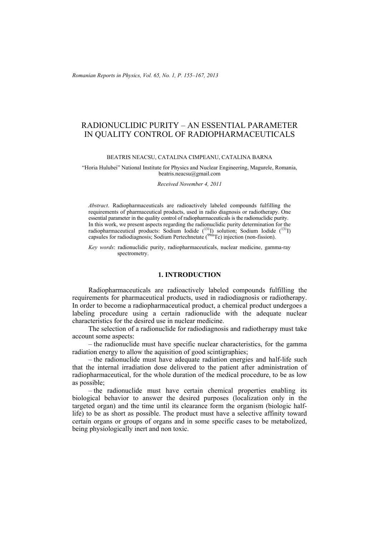*Romanian Reports in Physics, Vol. 65, No. 1, P. 155–167, 2013*

## RADIONUCLIDIC PURITY – AN ESSENTIAL PARAMETER IN QUALITY CONTROL OF RADIOPHARMACEUTICALS

#### BEATRIS NEACSU, CATALINA CIMPEANU, CATALINA BARNA

#### "Horia Hulubei" National Institute for Physics and Nuclear Engineering, Magurele, Romania, beatris.neacsu@gmail.com

*Received November 4, 2011* 

*Abstract*. Radiopharmaceuticals are radioactively labeled compounds fulfilling the requirements of pharmaceutical products, used in radio diagnosis or radiotherapy. One essential parameter in the quality control of radiopharmaceuticals is the radionuclidic purity. In this work, we present aspects regarding the radionuclidic purity determination for the radiopharmaceutical products: Sodium Iodide  $(^{131}I)$  solution; Sodium Iodide  $(^{131}I)$ capsules for radiodiagnosis; Sodium Pertechnetate  $(^{99\text{m}}$ Tc) injection (non-fission).

*Key words*: radionuclidic purity, radiopharmaceuticals, nuclear medicine, gamma-ray spectrometry.

### **1. INTRODUCTION**

Radiopharmaceuticals are radioactively labeled compounds fulfilling the requirements for pharmaceutical products, used in radiodiagnosis or radiotherapy. In order to become a radiopharmaceutical product, a chemical product undergoes a labeling procedure using a certain radionuclide with the adequate nuclear characteristics for the desired use in nuclear medicine.

The selection of a radionuclide for radiodiagnosis and radiotherapy must take account some aspects:

– the radionuclide must have specific nuclear characteristics, for the gamma radiation energy to allow the aquisition of good scintigraphies;

– the radionuclide must have adequate radiation energies and half-life such that the internal irradiation dose delivered to the patient after administration of radiopharmaceutical, for the whole duration of the medical procedure, to be as low as possible;

– the radionuclide must have certain chemical properties enabling its biological behavior to answer the desired purposes (localization only in the targeted organ) and the time until its clearance form the organism (biologic halflife) to be as short as possible. The product must have a selective affinity toward certain organs or groups of organs and in some specific cases to be metabolized, being physiologically inert and non toxic.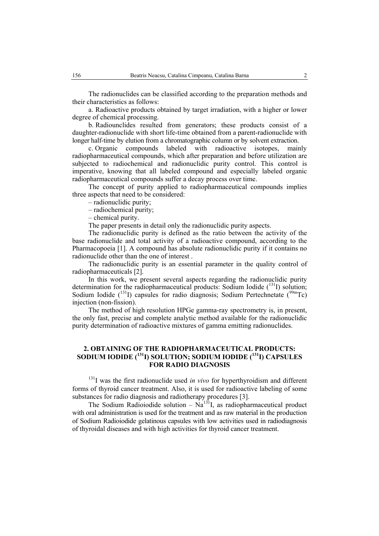The radionuclides can be classified according to the preparation methods and their characteristics as follows:

a. Radioactive products obtained by target irradiation, with a higher or lower degree of chemical processing.

b. Radiounclides resulted from generators; these products consist of a daughter-radionuclide with short life-time obtained from a parent-radionuclide with longer half-time by elution from a chromatographic column or by solvent extraction.

c. Organic compounds labeled with radioactive isotopes, mainly radiopharmaceutical compounds, which after preparation and before utilization are subjected to radiochemical and radionuclidic purity control. This control is imperative, knowing that all labeled compound and especially labeled organic radiopharmaceutical compounds suffer a decay process over time.

The concept of purity applied to radiopharmaceutical compounds implies three aspects that need to be considered:

– radionuclidic purity;

– radiochemical purity;

– chemical purity.

The paper presents in detail only the radionuclidic purity aspects.

The radionuclidic purity is defined as the ratio between the activity of the base radionuclide and total activity of a radioactive compound, according to the Pharmacopoeia [1]. A compound has absolute radionuclidic purity if it contains no radionuclide other than the one of interest .

The radionuclidic purity is an essential parameter in the quality control of radiopharmaceuticals [2].

In this work, we present several aspects regarding the radionuclidic purity determination for the radiopharmaceutical products: Sodium Iodide  $(^{131}I)$  solution; Sodium Iodide  $(^{131}I)$  capsules for radio diagnosis; Sodium Pertechnetate  $(^{99m}Tc)$ injection (non-fission).

The method of high resolution HPGe gamma-ray spectrometry is, in present, the only fast, precise and complete analytic method available for the radionuclidic purity determination of radioactive mixtures of gamma emitting radionuclides.

### **2. OBTAINING OF THE RADIOPHARMACEUTICAL PRODUCTS: SODIUM IODIDE (131I) SOLUTION; SODIUM IODIDE (131I) CAPSULES FOR RADIO DIAGNOSIS**

<sup>131</sup>I was the first radionuclide used *in vivo* for hyperthyroidism and different forms of thyroid cancer treatment. Also, it is used for radioactive labeling of some substances for radio diagnosis and radiotherapy procedures [3].

The Sodium Radioiodide solution –  $\overline{Na}^{131}I$ , as radiopharmaceutical product with oral administration is used for the treatment and as raw material in the production of Sodium Radioiodide gelatinous capsules with low activities used in radiodiagnosis of thyroidal diseases and with high activities for thyroid cancer treatment.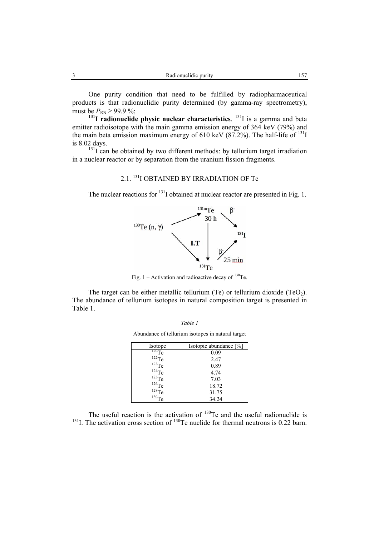One purity condition that need to be fulfilled by radiopharmaceutical products is that radionuclidic purity determined (by gamma-ray spectrometry), must be  $P_{\text{RN}} \ge 99.9 \%$ ;

 $\frac{131}{131}$  **radionuclide physic nuclear characteristics**. <sup>131</sup>I is a gamma and beta emitter radioisotope with the main gamma emission energy of 364 keV (79%) and the main beta emission maximum energy of 610 keV (87.2%). The half-life of  $^{131}I$ is 8.02 days.

 $131$ I can be obtained by two different methods: by tellurium target irradiation in a nuclear reactor or by separation from the uranium fission fragments.

# 2.1. 131I OBTAINED BY IRRADIATION OF Te

The nuclear reactions for <sup>131</sup>I obtained at nuclear reactor are presented in Fig. 1.



Fig. 1 – Activation and radioactive decay of  $^{130}$ Te.

The target can be either metallic tellurium (Te) or tellurium dioxide (TeO<sub>2</sub>). The abundance of tellurium isotopes in natural composition target is presented in Table 1.

Abundance of tellurium isotopes in natural target

| Isotope     | Isotopic abundance [%] |
|-------------|------------------------|
| $^{120}Te$  | 0.09                   |
| $122$ Te    | 2.47                   |
| $^{123}$ Te | 0.89                   |
| $124$ Te    | 4.74                   |
| $125$ Te    | 7.03                   |
| $^{126}Te$  | 18.72                  |
| $^{128}$ Te | 31.75                  |
|             | 34.24                  |

The useful reaction is the activation of  $130$ Te and the useful radionuclide is  $131$ I. The activation cross section of  $130$ Te nuclide for thermal neutrons is 0.22 barn.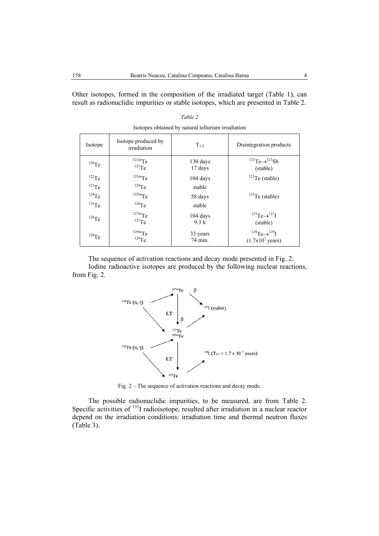Other isotopes, formed in the composition of the irradiated target (Table 1), can result as radionuclidic impurities or stable isotopes, which are presented in Table 2.

| Isotope             | Isotope produced by<br>irradiation | $T_{1/2}$                      | Disintegration products                                      |
|---------------------|------------------------------------|--------------------------------|--------------------------------------------------------------|
| $120$ Te            | $121m$ Te<br>$^{121}Te$            | 130 days<br>17 days            | $^{121}Te \rightarrow ^{121}Sb$<br>(stable)                  |
| $^{122}\mathrm{Te}$ | $123m$ Te                          | $104$ days                     | $123$ Te (stable)                                            |
| $123$ Te            | $124$ Te                           | stable                         |                                                              |
| $124$ Te            | $125m$ Te                          | 58 days                        | $125$ Te (stable)                                            |
| $^{125}\mathrm{Te}$ | $126$ Te                           | stable                         |                                                              |
| $126$ Te            | $127m$ Te<br>$^{127}$ Te           | $104$ days<br>9.3 <sub>h</sub> | $^{127}Te \rightarrow ^{127}I$<br>(stable)                   |
| $^{128}\mathrm{Te}$ | $129m$ Te<br>$129$ Te              | 33 years<br>74 min.            | $^{129}Te \rightarrow ^{129}I$<br>$(1.7x10^7 \text{ years})$ |

*Table 2*  Isotopes obtained by natural tellurium irradiation

The sequence of activation reactions and decay mode presented in Fig. 2. Iodine radioactive isotopes are produced by the following nuclear reactions, from Fig. 2.



Fig. 2 – The sequence of activation reactions and decay mode.

The possible radionuclidic impurities, to be measured, are from Table 2. Specific activities of <sup>131</sup>I radioisotope, resulted after irradiation in a nuclear reactor depend on the irradiation conditions: irradiation time and thermal neutron fluxes (Table 3).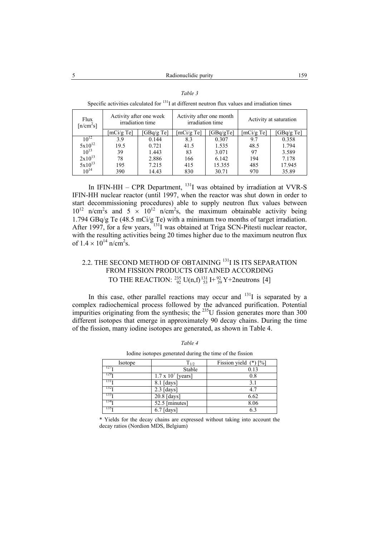| Flux<br>[n/cm <sup>2</sup> s] | Activity after one week<br>irradiation time |            | Activity after one month<br>irradiation time |           | Activity at saturation |           |
|-------------------------------|---------------------------------------------|------------|----------------------------------------------|-----------|------------------------|-----------|
|                               | [mCi/gTe]                                   | [GBq/g Te] | [mCi/gTe]                                    | [GBq/gTe] | [mCi/gTe]              | [GBq/gTe] |
| $10^{12}$                     | 3.9                                         | 0.144      | 8.3                                          | 0.307     | 9.7                    | 0.358     |
| $5x10^{12}$                   | 19.5                                        | 0.721      | 41.5                                         | 1.535     | 48.5                   | 1.794     |
| $10^{13}$                     | 39                                          | 1.443      | 83                                           | 3.071     | 97                     | 3.589     |
| $2x10^{13}$                   | 78                                          | 2.886      | 166                                          | 6.142     | 194                    | 7.178     |
| $5x10^{13}$                   | 195                                         | 7.215      | 415                                          | 15.355    | 485                    | 17.945    |
| $10^{14}$                     | 390                                         | 14.43      | 830                                          | 30.71     | 970                    | 35.89     |

| ,, |  |
|----|--|
|    |  |

Specific activities calculated for  $131$  at different neutron flux values and irradiation times

In IFIN-HH – CPR Department, 131I was obtained by irradiation at VVR-S IFIN-HH nuclear reactor (until 1997, when the reactor was shut down in order to start decommissioning procedures) able to supply neutron flux values between  $10^{12}$  n/cm<sup>2</sup>s and 5  $\times$   $10^{12}$  n/cm<sup>2</sup>s, the maximum obtainable activity being 1.794 GBq/g Te (48.5 mCi/g Te) with a minimum two months of target irradiation. After 1997, for a few years,  $^{131}$ I was obtained at Triga SCN-Pitesti nuclear reactor, with the resulting activities being 20 times higher due to the maximum neutron flux of  $1.4 \times 10^{14}$  n/cm<sup>2</sup>s.

# 2.2. THE SECOND METHOD OF OBTAINING <sup>131</sup>I IS ITS SEPARATION FROM FISSION PRODUCTS OBTAINED ACCORDING TO THE REACTION:  $^{235}_{92}$  U(n,f)  $^{131}_{53}$  I+  $^{92}_{39}$  Y+2neutrons [4]

In this case, other parallel reactions may occur and  $131$  is separated by a complex radiochemical process followed by the advanced purification. Potential impurities originating from the synthesis; the  $^{235}$ U fission generates more than 300 different isotopes that emerge in approximately 90 decay chains. During the time of the fission, many iodine isotopes are generated, as shown in Table 4.

| Isotope          | $T_{1/2}$                   | Fission yield $(*)$ [%] |
|------------------|-----------------------------|-------------------------|
| 127 <sub>T</sub> | Stable                      | 0.13                    |
| 129 <sub>1</sub> | $1.7 \times 10^{7}$ [years] | 0.8                     |
| 131 <sub>T</sub> | $8.1$ [days]                | 3.1                     |
| 132 <sub>T</sub> | $2.3$ [days]                | 4.7                     |
| 133 <sub>T</sub> | 20.8 [days]                 | 6.62                    |
| 134 <sub>T</sub> | 52.5 [minutes]              | 8.06                    |
| 135 <sub>T</sub> | $6.7$ [days]                | 6.3                     |

*Table 4*  Iodine isotopes generated during the time of the fission

\* Yields for the decay chains are expressed without taking into account the decay ratios (Nordion MDS, Belgium)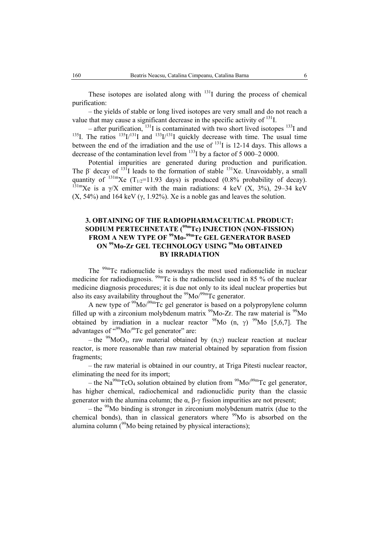These isotopes are isolated along with  $131$ I during the process of chemical purification:

– the yields of stable or long lived isotopes are very small and do not reach a value that may cause a significant decrease in the specific activity of  $^{131}$ .

– after purification,  $^{131}$ I is contaminated with two short lived isotopes  $^{133}$ I and <sup>135</sup>I. The ratios <sup>135</sup>I/<sup>131</sup>I and <sup>133</sup>I/<sup>131</sup>I quickly decrease with time. The usual time between the end of the irradiation and the use of  $^{131}$ I is 12-14 days. This allows a decrease of the contamination level from  $^{133}$ I by a factor of 5 000–2 0000.

Potential impurities are generated during production and purification. The  $\beta$  decay of <sup>131</sup>I leads to the formation of stable <sup>131</sup>Xe. Unavoidably, a small quantity of  $^{131m}$ Xe (T<sub>1/2</sub>=11.93 days) is produced (0.8% probability of decay).  $131 \text{mXe}$  is a  $\gamma$ /X emitter with the main radiations: 4 keV (X, 3%), 29–34 keV  $(X, 54\%)$  and 164 keV  $(\gamma, 1.92\%)$ . Xe is a noble gas and leaves the solution.

## **3. OBTAINING OF THE RADIOPHARMACEUTICAL PRODUCT: SODIUM PERTECHNETATE (99mTc) INJECTION (NON-FISSION) FROM A NEW TYPE OF 99Mo-99mTc GEL GENERATOR BASED ON 99Mo-Zr GEL TECHNOLOGY USING 99Mo OBTAINED BY IRRADIATION**

The <sup>99m</sup>Tc radionuclide is nowadays the most used radionuclide in nuclear medicine for radiodiagnosis.  $\frac{99 \text{m}}{2}$  is the radionuclide used in 85 % of the nuclear medicine diagnosis procedures; it is due not only to its ideal nuclear properties but also its easy availability throughout the  $\frac{99}{9}Mo/29m}Tc$  generator.

A new type of  $\frac{99}{9}$ Mo/ $\frac{99}{9}$ Tc gel generator is based on a polypropylene column filled up with a zirconium molybdenum matrix  $\frac{99}{9}$ Mo-Zr. The raw material is  $\frac{99}{9}$ Mo obtained by irradiation in a nuclear reactor  $^{98}$ Mo (n,  $\gamma$ )  $^{99}$ Mo [5,6,7]. The advantages of  $\cdot^{99}$ Mo/ $m$ Tc gel generator" are:

– the <sup>99</sup>MoO<sub>3</sub>, raw material obtained by  $(n, \gamma)$  nuclear reaction at nuclear reactor, is more reasonable than raw material obtained by separation from fission fragments;

– the raw material is obtained in our country, at Triga Pitesti nuclear reactor, eliminating the need for its import;

– the Na<sup>99m</sup>TcO<sub>4</sub> solution obtained by elution from <sup>99</sup>Mo<sup> $99$ m</sup>Tc gel generator, has higher chemical, radiochemical and radionuclidic purity than the classic generator with the alumina column; the α,  $β$ -γ fission impurities are not present;

 $-$  the <sup>99</sup>Mo binding is stronger in zirconium molybdenum matrix (due to the chemical bonds), than in classical generators where  $99$ Mo is absorbed on the alumina column  $(99)$ Mo being retained by physical interactions);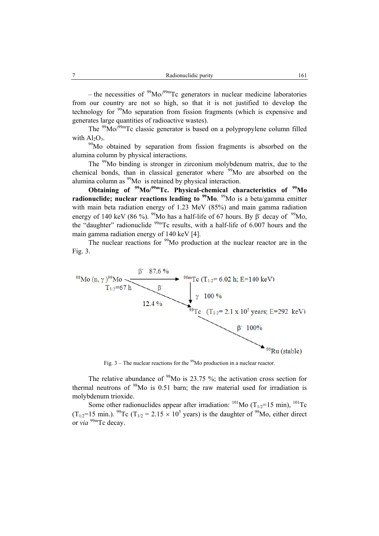– the necessities of  $\frac{99}{9}Mo/99m}Tc$  generators in nuclear medicine laboratories from our country are not so high, so that it is not justified to develop the technology for <sup>99</sup>Mo separation from fission fragments (which is expensive and generates large quantities of radioactive wastes).

The  $\frac{99}{100}$  $\frac{\text{M}}{\text{O}}$  $\frac{\text{O}}{\text{99}}$ Tc classic generator is based on a polypropylene column filled with  $Al_2O_3$ .<br><sup>99</sup>Mo obtained by separation from fission fragments is absorbed on the

alumina column by physical interactions.

The <sup>99</sup>Mo binding is stronger in zirconium molybdenum matrix, due to the chemical bonds, than in classical generator where  $99M$ o are absorbed on the alumina column as <sup>99</sup>Mo is retained by physical interaction.

**Obtaining of 99Mo/99mTc. Physical-chemical characteristics of 99Mo radionuclide; nuclear reactions leading to <sup>99</sup>Mo. <sup>99</sup>Mo is a beta/gamma emitter** with main beta radiation energy of 1.23 MeV (85%) and main gamma radiation energy of 140 keV (86 %). <sup>99</sup>Mo has a half-life of 67 hours. By  $\beta$ <sup>-</sup> decay of <sup>99</sup>Mo, the "daughter" radionuclide  $99m$ Tc results, with a half-life of 6.007 hours and the main gamma radiation energy of 140 keV [4].

The nuclear reactions for  $\frac{99}{9}$ Mo production at the nuclear reactor are in the Fig. 3.



Fig.  $3$  – The nuclear reactions for the <sup>99</sup>Mo production in a nuclear reactor.

The relative abundance of  $98$ Mo is 23.75 %; the activation cross section for thermal neutrons of  $98$ Mo is 0.51 barn; the raw material used for irradiation is molybdenum trioxide.

Some other radionuclides appear after irradiation:  $^{101}$ Mo (T<sub>1/2</sub>=15 min),  $^{101}$ Tc (T<sub>1/2</sub>=15 min.). <sup>99</sup>Tc (T<sub>1/2</sub> = 2.15  $\times$  10<sup>5</sup> years) is the daughter of <sup>99</sup>Mo, either direct or *via*<sup>99m</sup>Tc decay.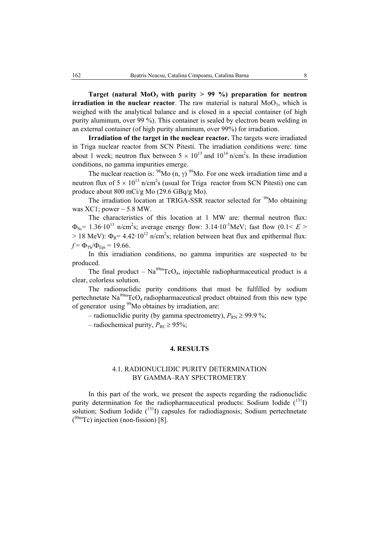Target (natural  $MoO<sub>3</sub>$  with purity  $> 99$  %) preparation for neutron **irradiation in the nuclear reactor**. The raw material is natural  $MoO<sub>3</sub>$ , which is weighed with the analytical balance and is closed in a special container (of high purity aluminum, over 99 %). This container is sealed by electron beam welding in an external container (of high purity aluminum, over 99%) for irradiation.

**Irradiation of the target in the nuclear reactor.** The targets were irradiated in Triga nuclear reactor from SCN Pitesti. The irradiation conditions were: time about 1 week; neutron flux between  $5 \times 10^{13}$  and  $10^{14}$  n/cm<sup>2</sup>s. In these irradiation conditions, no gamma impurities emerge.

The nuclear reaction is: <sup>98</sup>Mo (n,  $\gamma$ )<sup>99</sup>Mo. For one week irradiation time and a neutron flux of  $5 \times 10^{13}$  n/cm<sup>2</sup>s (usual for Triga reactor from SCN Pitesti) one can produce about 800 mCi/g Mo (29.6 GBq/g Mo).

The irradiation location at TRIGA-SSR reactor selected for <sup>99</sup>Mo obtaining was  $XCl$ ; power  $\sim$  5.8 MW.

The characteristics of this location at 1 MW are: thermal neutron flux:  $\Phi_{\text{Sc}}$  = 1.36·10<sup>13</sup> n/cm<sup>2</sup>s; average energy flow: 3.14·10<sup>-1</sup>MeV; fast flow (0.1< *E* >  $> 18$  MeV):  $\Phi_R = 4.42 \cdot 10^{12}$  n/cm<sup>2</sup>s; relation between heat flux and epithermal flux:  $f = \Phi_{\text{Th}}/\Phi_{\text{Eni}} = 19.66$ .

In this irradiation conditions, no gamma impurities are suspected to be produced.

The final product –  $Na<sup>99m</sup>TcO<sub>4</sub>$ , injectable radiopharmaceutical product is a clear, colorless solution.

The radionuclidic purity conditions that must be fulfilled by sodium pertechnetate  $\text{Na}^{99\text{m}}\text{TeO}_4$  radiopharmaceutical product obtained from this new type of generator using <sup>99</sup>Mo obtaines by irradiation, are:

– radionuclidic purity (by gamma spectrometry),  $P_{RN} \ge 99.9$ %;

– radiochemical purity,  $P_{RC} \ge 95\%$ ;

#### **4. RESULTS**

### 4.1. RADIONUCLIDIC PURITY DETERMINATION BY GAMMA–RAY SPECTROMETRY

In this part of the work, we present the aspects regarding the radionuclidic purity determination for the radiopharmaceutical products: Sodium Iodide  $(^{131}I)$ solution; Sodium Iodide  $(^{131}I)$  capsules for radiodiagnosis; Sodium pertechnetate  $(^{99m}$ Tc) injection (non-fission) [8].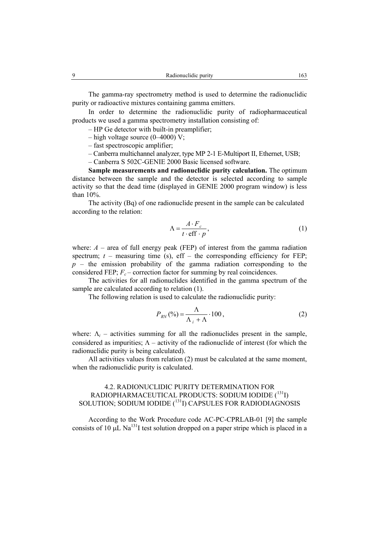The gamma-ray spectrometry method is used to determine the radionuclidic purity or radioactive mixtures containing gamma emitters.

In order to determine the radionuclidic purity of radiopharmaceutical products we used a gamma spectrometry installation consisting of:

– HP Ge detector with built-in preamplifier;

- $-$  high voltage source (0–4000) V;
- fast spectroscopic amplifier;
- Canberra multichannel analyzer, type MP 2-1 E-Multiport II, Ethernet, USB;
- Canberra S 502C-GENIE 2000 Basic licensed software.

**Sample measurements and radionuclidic purity calculation.** The optimum distance between the sample and the detector is selected according to sample activity so that the dead time (displayed in GENIE 2000 program window) is less than 10%.

 The activity (Bq) of one radionuclide present in the sample can be calculated according to the relation:

$$
\Lambda = \frac{A \cdot F_c}{t \cdot \text{eff} \cdot p},\tag{1}
$$

where:  $A$  – area of full energy peak (FEP) of interest from the gamma radiation spectrum;  $t$  – measuring time (s),  $\text{eff}$  – the corresponding efficiency for FEP;  $p$  – the emission probability of the gamma radiation corresponding to the considered FEP;  $F_c$  – correction factor for summing by real coincidences.

 The activities for all radionuclides identified in the gamma spectrum of the sample are calculated according to relation (1).

The following relation is used to calculate the radionuclidic purity:

$$
P_{RN}(\%) = \frac{\Lambda}{\Lambda_i + \Lambda} \cdot 100\,,\tag{2}
$$

where:  $\Lambda_i$  – activities summing for all the radionuclides present in the sample, considered as impurities;  $\Lambda$  – activity of the radionuclide of interest (for which the radionuclidic purity is being calculated).

All activities values from relation (2) must be calculated at the same moment, when the radionuclidic purity is calculated.

## 4.2. RADIONUCLIDIC PURITY DETERMINATION FOR RADIOPHARMACEUTICAL PRODUCTS: SODIUM IODIDE $(^{131}\mathrm{I})$ SOLUTION; SODIUM IODIDE  $(^{131}I)$  CAPSULES FOR RADIODIAGNOSIS

 According to the Work Procedure code AC-PC-CPRLAB-01 [9] the sample consists of 10  $\mu$ L Na<sup>131</sup>I test solution dropped on a paper stripe which is placed in a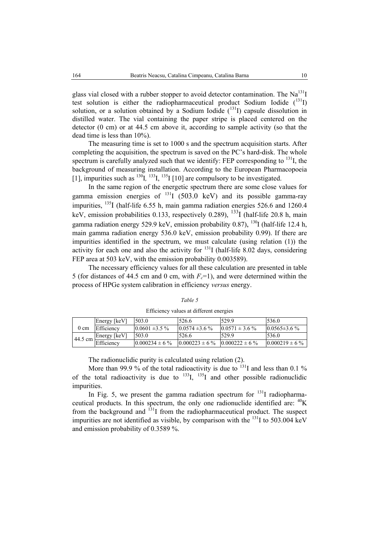glass vial closed with a rubber stopper to avoid detector contamination. The  $Na<sup>131</sup>I$ test solution is either the radiopharmaceutical product Sodium Iodide  $(^{131}I)$ solution, or a solution obtained by a Sodium Iodide  $(^{131}I)$  capsule dissolution in distilled water. The vial containing the paper stripe is placed centered on the detector (0 cm) or at 44.5 cm above it, according to sample activity (so that the dead time is less than 10%).

 The measuring time is set to 1000 s and the spectrum acquisition starts. After completing the acquisition, the spectrum is saved on the PC's hard-disk. The whole spectrum is carefully analyzed such that we identify: FEP corresponding to  $^{131}$ , the background of measuring installation. According to the European Pharmacopoeia [1], impurities such as  $^{130}$ *I*,  $^{133}$ *I*,  $^{135}$ *I* [10] are compulsory to be investigated.

 In the same region of the energetic spectrum there are some close values for gamma emission energies of  $^{131}I$  (503.0 keV) and its possible gamma-ray impurities,  $^{135}$ I (half-life 6.55 h, main gamma radiation energies 526.6 and 1260.4 keV, emission probabilities 0.133, respectively 0.289),  $^{133}$ I (half-life 20.8 h, main gamma radiation energy 529.9 keV, emission probability 0.87),  $^{130}$ I (half-life 12.4 h, main gamma radiation energy 536.0 keV, emission probability 0.99). If there are impurities identified in the spectrum, we must calculate (using relation (1)) the activity for each one and also the activity for  $^{131}$ I (half-life 8.02 days, considering FEP area at 503 keV, with the emission probability 0.003589).

 The necessary efficiency values for all these calculation are presented in table 5 (for distances of 44.5 cm and 0 cm, with  $F_c$ =1), and were determined within the process of HPGe system calibration in efficiency *versus* energy.

|                     | Energy [keV] | 503.0               | 526.6               | 529.9               | 536.0               |
|---------------------|--------------|---------------------|---------------------|---------------------|---------------------|
| $0 \text{ cm}$      | Efficiency   | $0.0601 \pm 3.5 \%$ | $0.0574 \pm 3.6 \%$ | $0.0571 \pm 3.6 \%$ | $0.0565 \pm 3.6 \%$ |
| $144.5$ cm $\Gamma$ | Energy [keV] | 503.0               | 526.6               | 529.9               | 536.0               |
|                     | Efficiency   | $0.000234 \pm 6 \%$ | $0.000223 \pm 6 \%$ | $0.000222 \pm 6 \%$ | $0.000219 \pm 6 \%$ |

*Table 5*  Efficiency values at different energies

The radionuclidic purity is calculated using relation (2).

More than 99.9 % of the total radioactivity is due to  $131$  and less than 0.1 % of the total radioactivity is due to  $^{133}$ I,  $^{135}$ I and other possible radionuclidic impurities.

In Fig. 5, we present the gamma radiation spectrum for  $^{131}I$  radiopharmaceutical products. In this spectrum, the only one radionuclide identified are:  ${}^{40}$ K from the background and <sup>131</sup>I from the radiopharmaceutical product. The suspect impurities are not identified as visible, by comparison with the  $^{131}$  to 503.004 keV and emission probability of 0.3589 %.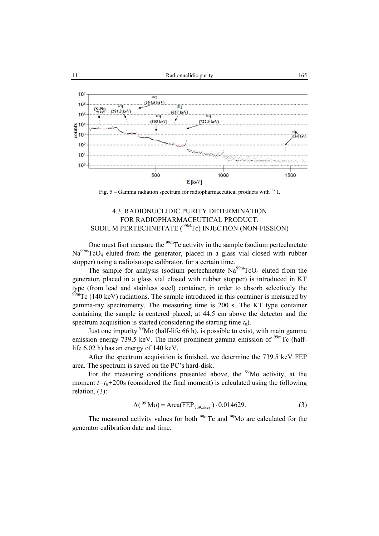

Fig.  $5 - \text{Gamma radiation spectrum}$  for radiopharmaceutical products with <sup>131</sup>I.

## 4.3. RADIONUCLIDIC PURITY DETERMINATION FOR RADIOPHARMACEUTICAL PRODUCT: SODIUM PERTECHNETATE (<sup>99M</sup>Tc) INJECTION (NON-FISSION)

One must fisrt measure the <sup>99m</sup>Tc activity in the sample (sodium pertechnetate  $Na<sup>99m</sup>TeO<sub>4</sub>$  eluted from the generator, placed in a glass vial closed with rubber stopper) using a radioisotope calibrator, for a certain time.

The sample for analysis (sodium pertechnetate  $\text{Na}^{99\text{m}}$ TcO<sub>4</sub> eluted from the generator, placed in a glass vial closed with rubber stopper) is introduced in KT type (from lead and stainless steel) container, in order to absorb selectively the  $99<sup>99</sup>$ mTc (140 keV) radiations. The sample introduced in this container is measured by gamma-ray spectrometry. The measuring time is 200 s. The KT type container containing the sample is centered placed, at 44.5 cm above the detector and the spectrum acquisition is started (considering the starting time  $t_0$ ).

Just one impurity  $99$ Mo (half-life 66 h), is possible to exist, with main gamma emission energy 739.5 keV. The most prominent gamma emission of  $\frac{99 \text{m}}{2}$ Tc (halflife 6.02 h) has an energy of 140 keV.

 After the spectrum acquisition is finished, we determine the 739.5 keV FEP area. The spectrum is saved on the PC's hard-disk.

For the measuring conditions presented above, the  $99$ Mo activity, at the moment  $t=t_0+200s$  (considered the final moment) is calculated using the following relation, (3):

$$
\Lambda(^{99}Mo) = Area(FEP_{739.5\text{kev}}) \cdot 0.014629.
$$
 (3)

The measured activity values for both <sup>99m</sup>Tc and <sup>99</sup>Mo are calculated for the generator calibration date and time.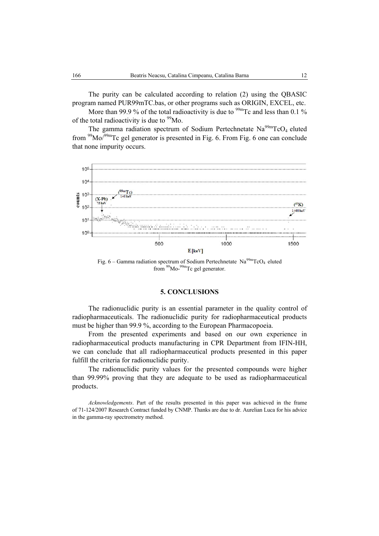The purity can be calculated according to relation (2) using the QBASIC program named PUR99mTC.bas, or other programs such as ORIGIN, EXCEL, etc.

More than 99.9 % of the total radioactivity is due to  $^{99m}$ Tc and less than 0.1 % of the total radioactivity is due to  $\rm^{99}Mo$ .

The gamma radiation spectrum of Sodium Pertechnetate  $Na^{99m}TcO_4$  eluted from 99Mo/99mTc gel generator is presented in Fig. 6. From Fig. 6 one can conclude that none impurity occurs.



Fig. 6 – Gamma radiation spectrum of Sodium Pertechnetate  $Na<sup>99m</sup>TCO<sub>4</sub>$  eluted from 99Mo-99mTc gel generator.

#### **5. CONCLUSIONS**

The radionuclidic purity is an essential parameter in the quality control of radiopharmaceuticals. The radionuclidic purity for radiopharmaceutical products must be higher than 99.9 %, according to the European Pharmacopoeia.

From the presented experiments and based on our own experience in radiopharmaceutical products manufacturing in CPR Department from IFIN-HH, we can conclude that all radiopharmaceutical products presented in this paper fulfill the criteria for radionuclidic purity.

The radionuclidic purity values for the presented compounds were higher than 99.99% proving that they are adequate to be used as radiopharmaceutical products.

*Acknowledgements*. Part of the results presented in this paper was achieved in the frame of 71-124/2007 Research Contract funded by CNMP. Thanks are due to dr. Aurelian Luca for his advice in the gamma-ray spectrometry method.